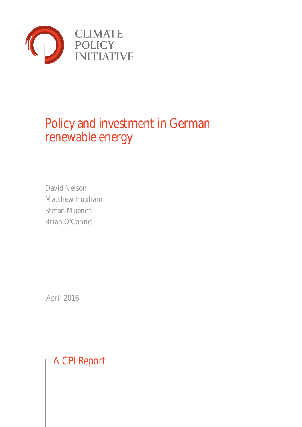

# Policy and investment in German renewable energy

David Nelson Matthew Huxham Stefan Muench Brian O'Connell

April 2016

A CPI Report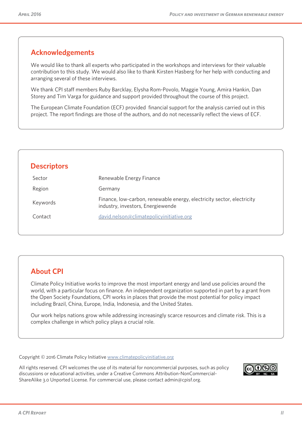### **Acknowledgements**

We would like to thank all experts who participated in the workshops and interviews for their valuable contribution to this study. We would also like to thank Kirsten Hasberg for her help with conducting and arranging several of these interviews.

We thank CPI staff members Ruby Barcklay, Elysha Rom-Povolo, Maggie Young, Amira Hankin, Dan Storey and Tim Varga for guidance and support provided throughout the course of this project.

The European Climate Foundation (ECF) provided financial support for the analysis carried out in this project. The report findings are those of the authors, and do not necessarily reflect the views of ECF.

| Sector<br>Region | Renewable Energy Finance                                                                                    |
|------------------|-------------------------------------------------------------------------------------------------------------|
|                  |                                                                                                             |
|                  | Germany                                                                                                     |
| Keywords         | Finance, low-carbon, renewable energy, electricity sector, electricity<br>industry, investors, Energiewende |
| Contact          | david.nelson@climatepolicyinitiative.org                                                                    |

### **About CPI**

Climate Policy Initiative works to improve the most important energy and land use policies around the world, with a particular focus on finance. An independent organization supported in part by a grant from the Open Society Foundations, CPI works in places that provide the most potential for policy impact including Brazil, China, Europe, India, Indonesia, and the United States.

Our work helps nations grow while addressing increasingly scarce resources and climate risk. This is a complex challenge in which policy plays a crucial role.

Copyright © 2016 Climate Policy Initiative www.climatepolicyinitiative.org

All rights reserved. CPI welcomes the use of its material for noncommercial purposes, such as policy discussions or educational activities, under a Creative Commons Attribution-NonCommercial-ShareAlike 3.0 Unported License. For commercial use, please contact admin@cpisf.org.

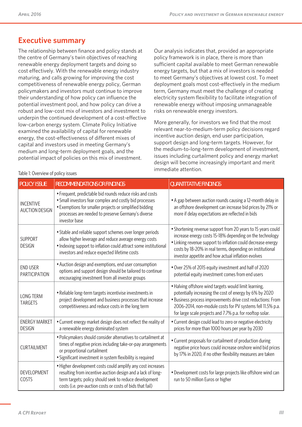### **Executive summary**

The relationship between finance and policy stands at the centre of Germany's twin objectives of reaching renewable energy deployment targets and doing so cost effectively. With the renewable energy industry maturing, and calls growing for improving the cost competitiveness of renewable energy policy, German policymakers and investors must continue to improve their understanding of how policy can influence the potential investment pool, and how policy can drive a robust and low-cost mix of investors and investment to underpin the continued development of a cost-effective low-carbon energy system. Climate Policy Initiative examined the availability of capital for renewable energy, the cost-effectiveness of different mixes of capital and investors used in meeting Germany's medium and long-term deployment goals, and the potential impact of policies on this mix of investment.

Our analysis indicates that, provided an appropriate policy framework is in place, there is more than sufficient capital available to meet German renewable energy targets, but that a mix of investors is needed to meet Germany's objectives at lowest cost. To meet deployment goals most cost-effectively in the medium term, Germany must meet the challenge of creating electricity system flexibility to facilitate integration of renewable energy without imposing unmanageable risks on renewable energy investors.

More generally, for investors we find that the most relevant near-to-medium-term policy decisions regard incentive auction design, end user participation, support design and long-term targets. However, for the medium-to-long-term development of investment, issues including curtailment policy and energy market design will become increasingly important and merit immediate attention.

| <b>POLICY ISSUE</b>                       | <b>RECOMMENDATIONS OR FINDINGS</b>                                                                                                                                                                                                                     | <b>QUANTITATIVE FINDINGS</b>                                                                                                                                                                                                                                                                                |  |  |  |  |
|-------------------------------------------|--------------------------------------------------------------------------------------------------------------------------------------------------------------------------------------------------------------------------------------------------------|-------------------------------------------------------------------------------------------------------------------------------------------------------------------------------------------------------------------------------------------------------------------------------------------------------------|--|--|--|--|
| <b>INCENTIVE</b><br><b>AUCTION DESIGN</b> | • Frequent, predictable bid rounds reduce risks and costs<br>• Small investors fear complex and costly bid processes<br>• Exemptions for smaller projects or simplified bidding<br>processes are needed to preserve Germany's diverse<br>investor base | • A gap between auction rounds causing a 12-month delay in<br>an offshore development can increase bid prices by 21% or<br>more if delay expectations are reflected in bids                                                                                                                                 |  |  |  |  |
| <b>SUPPORT</b><br><b>DESIGN</b>           | • Stable and reliable support schemes over longer periods<br>allow higher leverage and reduce average energy costs<br>• Indexing support to inflation could attract some institutional<br>investors and reduce expected lifetime costs                 | • Shortening revenue support from 20 years to 15 years could<br>increase energy costs 15-18% depending on the technology<br>• Linking revenue support to inflation could decrease energy<br>costs by 18-20% in real terms, depending on institutional<br>investor appetite and how actual inflation evolves |  |  |  |  |
| <b>END USER</b><br><b>PARTICIPATION</b>   | • Auction design and exemptions, end user consumption<br>options and support design should be tailored to continue<br>encouraging investment from all investor groups                                                                                  | • Over 25% of 2015 equity investment and half of 2020<br>potential equity investment comes from end users                                                                                                                                                                                                   |  |  |  |  |
| <b>LONG TERM</b><br><b>TARGETS</b>        | • Reliable long-term targets incentivise investments in<br>project development and business processes that increase<br>competitiveness and reduce costs in the long term                                                                               | • Halving offshore wind targets would limit learning,<br>potentially increasing the cost of energy by 6% by 2020<br>• Business process improvements drive cost reductions: From<br>2006-2014, non-module costs for PV systems fell 11.5% p.a.<br>for large scale projects and 7.7% p.a. for rooftop solar.  |  |  |  |  |
| <b>ENERGY MARKET</b><br><b>DESIGN</b>     | • Current energy market design does not reflect the reality of<br>a renewable energy dominated system                                                                                                                                                  | • Current design could lead to zero or negative electricity<br>prices for more than 1000 hours per year by 2030                                                                                                                                                                                             |  |  |  |  |
| <b>CURTAILMENT</b>                        | • Policymakers should consider alternatives to curtailment at<br>times of negative prices including take-or-pay arrangements<br>or proportional curtailment<br>· Significant investment in system flexibility is required                              | • Current proposals for curtailment of production during<br>negative price hours could increase onshore wind bid prices<br>by 17% in 2020, if no other flexibility measures are taken                                                                                                                       |  |  |  |  |
| DEVELOPMENT<br>COSTS                      | • Higher development costs could amplify any cost increases<br>resulting from incentive auction design and a lack of long-<br>term targets; policy should seek to reduce development<br>costs (i.e. pre-auction costs or costs of bids that fail)      | • Development costs for large projects like offshore wind can<br>run to 50 million Euros or higher                                                                                                                                                                                                          |  |  |  |  |

#### Table 1: Overview of policy issues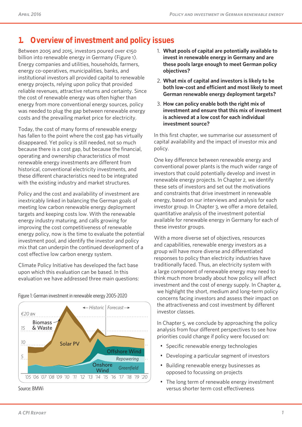## **1. Overview of investment and policy issues**

Between 2005 and 2015, investors poured over €150 billion into renewable energy in Germany (Figure 1). Energy companies and utilities, households, farmers, energy co-operatives, municipalities, banks, and institutional investors all provided capital to renewable energy projects, relying upon policy that provided reliable revenues, attractive returns and certainty. Since the cost of renewable energy was often higher than energy from more conventional energy sources, policy was needed to plug the gap between renewable energy costs and the prevailing market price for electricity.

Today, the cost of many forms of renewable energy has fallen to the point where the cost gap has virtually disappeared. Yet policy is still needed, not so much because there is a cost gap, but because the financial, operating and ownership characteristics of most renewable energy investments are different from historical, conventional electricity investments, and these different characteristics need to be integrated with the existing industry and market structures.

Policy and the cost and availability of investment are inextricably linked in balancing the German goals of meeting low carbon renewable energy deployment targets and keeping costs low. With the renewable energy industry maturing, and calls growing for improving the cost competitiveness of renewable energy policy, now is the time to evaluate the potential investment pool, and identify the investor and policy mix that can underpin the continued development of a cost effective low carbon energy system.

Climate Policy Initiative has developed the fact base upon which this evaluation can be based. In this evaluation we have addressed three main questions:



Figure 1: German investment in renewable energy 2005-2020

Source: BMWi

- 1. **What pools of capital are potentially available to invest in renewable energy in Germany and are these pools large enough to meet German policy objectives?**
- 2. **What mix of capital and investors is likely to be both low-cost and efficient and most likely to meet German renewable energy deployment targets?**
- 3. **How can policy enable both the right mix of investment and ensure that this mix of investment is achieved at a low cost for each individual investment source?**

In this first chapter, we summarise our assessment of capital availability and the impact of investor mix and policy.

One key difference between renewable energy and conventional power plants is the much wider range of investors that could potentially develop and invest in renewable energy projects. In Chapter 2, we identify these sets of investors and set out the motivations and constraints that drive investment in renewable energy, based on our interviews and analysis for each investor group. In Chapter 3, we offer a more detailed, quantitative analysis of the investment potential available for renewable energy in Germany for each of these investor groups.

With a more diverse set of objectives, resources and capabilities, renewable energy investors as a group will have more diverse and differentiated responses to policy than electricity industries have traditionally faced. Thus, an electricity system with a large component of renewable energy may need to think much more broadly about how policy will affect investment and the cost of energy supply. In Chapter 4, we highlight the short, medium and long-term policy concerns facing investors and assess their impact on the attractiveness and cost investment by different investor classes.

In Chapter 5, we conclude by approaching the policy analysis from four different perspectives to see how priorities could change if policy were focused on:

- Specific renewable energy technologies
- Developing a particular segment of investors
- Building renewable energy businesses as opposed to focussing on projects
- The long term of renewable energy investment versus shorter term cost effectiveness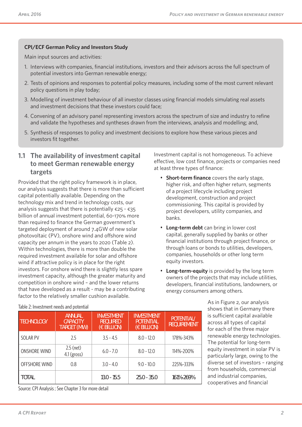### **CPI/ECF German Policy and Investors Study**

Main input sources and activities:

- 1. Interviews with companies, financial institutions, investors and their advisors across the full spectrum of potential investors into German renewable energy;
- 2. Tests of opinions and responses to potential policy measures, including some of the most current relevant policy questions in play today;
- 3. Modelling of investment behaviour of all investor classes using financial models simulating real assets and investment decisions that these investors could face;
- 4. Convening of an advisory panel representing investors across the spectrum of size and industry to refine and validate the hypotheses and syntheses drawn from the interviews, analysis and modelling; and,
- 5. Synthesis of responses to policy and investment decisions to explore how these various pieces and investors fit together.

### **1.1 The availability of investment capital to meet German renewable energy targets**

Provided that the right policy framework is in place, our analysis suggests that there is more than sufficient capital potentially available. Depending on the technology mix and trend in technology costs, our analysis suggests that there is potentially  $\epsilon$ 25 -  $\epsilon$ 35 billion of annual investment potential, 60-170% more than required to finance the German government's targeted deployment of around 7.4GW of new solar photovoltaic (PV), onshore wind and offshore wind capacity per annum in the years to 2020 (Table 2). Within technologies, there is more than double the required investment available for solar and offshore wind if attractive policy is in place for the right investors. For onshore wind there is slightly less spare investment capacity, although the greater maturity and competition in onshore wind – and the lower returns that have developed as a result - may be a contributing factor to the relatively smaller cushion available.

Investment capital is not homogeneous. To achieve effective, low cost finance, projects or companies need at least three types of finance:

- **Short-term finance** covers the early stage, higher risk, and often higher return, segments of a project lifecycle including project development, construction and project commissioning. This capital is provided by project developers, utility companies, and banks.
- **Long-term debt** can bring in lower cost capital, generally supplied by banks or other financial institutions through project finance, or through loans or bonds to utilities, developers, companies, households or other long term equity investors.
- **Long-term-equity** is provided by the long term owners of the projects that may include utilities, developers, financial institutions, landowners, or energy consumers among others.

As in Figure 2, our analysis shows that in Germany there is sufficient capital available across all types of capital for each of the three major renewable energy technologies. The potential for long-term equity investment in solar PV is particularly large, owing to the diverse set of investors – ranging from households, commercial and industrial companies, cooperatives and financial

|  | Table 2: Investment needs and potential |
|--|-----------------------------------------|
|  |                                         |

ONSHORE WIND  $\begin{array}{|c|c|} \hline 2.5 \text{ (net)} \\ 4.1 \text{ (gross)} \hline \end{array}$ 

**ANNUAL CAPACITY TARGET (MW)** **INVESTMENT REQUIRED (€ BILLION)**

SOLAR PV 2.5 3.5 - 4.5 8.0 - 12.0 178%-343%

OFFSHORE WIND 0.8 3.0 - 4.0 9.0 - 10.0 225%-333%

**TOTAL 13.0 - 15.5 25.0 - 35.0 161%-269%**

4.1 (gross) 6.0 - 7.0 8.0 - 12.0 114%-200%

**INVESTMENT POTENTIAL (€ BILLION)**

**POTENTIAL/ REQUIREMENT**

Source: CPI Analysis ; See Chapter 3 for more detail

**TECHNOLOGY**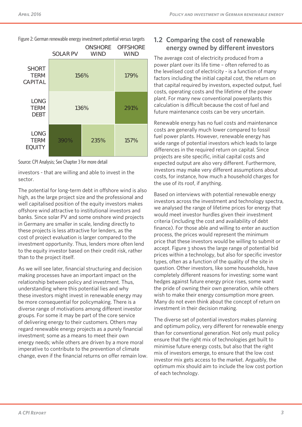Figure 2: German renewable energy investment potential versus targets

|                                               | <b>SOLAR PV</b> | <b>WIND</b> | <b>ONSHORE OFFSHORE</b><br><b>WIND</b> |
|-----------------------------------------------|-----------------|-------------|----------------------------------------|
| <b>SHORT</b><br><b>TERM</b><br><b>CAPITAL</b> | 156%            |             | 179%                                   |
| <b>LONG</b><br><b>TERM</b><br><b>DEBT</b>     | 136%            | 291%        |                                        |
| <b>LONG</b><br><b>TERM</b><br><b>EQUITY</b>   | 390%            | 235%        | 157%                                   |



investors - that are willing and able to invest in the sector.

The potential for long-term debt in offshore wind is also high, as the large project size and the professional and well capitalised position of the equity investors makes offshore wind attractive to institutional investors and banks. Since solar PV and some onshore wind projects in Germany are smaller in scale, lending directly to these projects is less attractive for lenders, as the cost of project evaluation is larger compared to the investment opportunity. Thus, lenders more often lend to the equity investor based on their credit risk, rather than to the project itself.

As we will see later, financial structuring and decision making processes have an important impact on the relationship between policy and investment. Thus, understanding where this potential lies and why these investors might invest in renewable energy may be more consequential for policymaking. There is a diverse range of motivations among different investor groups. For some it may be part of the core service of delivering energy to their customers. Others may regard renewable energy projects as a purely financial investment; some as a means to meet their own energy needs; while others are driven by a more moral imperative to contribute to the prevention of climate change, even if the financial returns on offer remain low.

### **1.2 Comparing the cost of renewable energy owned by different investors**

The average cost of electricity produced from a power plant over its life time – often referred to as the levelised cost of electricity - is a function of many factors including the initial capital cost, the return on that capital required by investors, expected output, fuel costs, operating costs and the lifetime of the power plant. For many new conventional powerplants this calculation is difficult because the cost of fuel and future maintenance costs can be very uncertain.

Renewable energy has no fuel costs and maintenance costs are generally much lower compared to fossil fuel power plants. However, renewable energy has wide range of potential investors which leads to large differences in the required return on capital. Since projects are site specific, initial capital costs and expected output are also very different. Furthermore, investors may make very different assumptions about costs, for instance, how much a household charges for the use of its roof, if anything.

Based on interviews with potential renewable energy investors across the investment and technology spectra, we analysed the range of lifetime prices for energy that would meet investor hurdles given their investment criteria (including the cost and availability of debt finance). For those able and willing to enter an auction process, the prices would represent the minimum price that these investors would be willing to submit or accept. Figure 3 shows the large range of potential bid prices within a technology, but also for specific investor types, often as a function of the quality of the site in question. Other investors, like some households, have completely different reasons for investing: some want hedges against future energy price rises, some want the pride of owning their own generation, while others wish to make their energy consumption more green. Many do not even think about the concept of return on investment in their decision making.

The diverse set of potential investors makes planning and optimum policy, very different for renewable energy than for conventional generation. Not only must policy ensure that the right mix of technologies get built to minimise future energy costs, but also that the right mix of investors emerge, to ensure that the low cost investor mix gets access to the market. Arguably, the optimum mix should aim to include the low cost portion of each technology.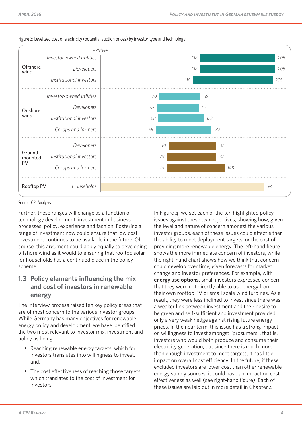

#### Figure 3: Levelized cost of electricity (potential auction prices) by investor type and technology

#### Source: CPI Analysis

Further, these ranges will change as a function of technology development, investment in business processes, policy, experience and fashion. Fostering a range of investment now could ensure that low cost investment continues to be available in the future. Of course, this argument could apply equally to developing offshore wind as it would to ensuring that rooftop solar for households has a continued place in the policy scheme.

### **1.3 Policy elements influencing the mix and cost of investors in renewable energy**

The interview process raised ten key policy areas that are of most concern to the various investor groups. While Germany has many objectives for renewable energy policy and development, we have identified the two most relevant to investor mix, investment and policy as being:

- Reaching renewable energy targets, which for investors translates into willingness to invest, and,
- The cost effectiveness of reaching those targets. which translates to the cost of investment for investors.

In Figure 4, we set each of the ten highlighted policy issues against these two objectives, showing how, given the level and nature of concern amongst the various investor groups, each of these issues could affect either the ability to meet deployment targets, or the cost of providing more renewable energy. The left-hand figure shows the more immediate concern of investors, while the right-hand chart shows how we think that concern could develop over time, given forecasts for market change and investor preferences. For example, with **energy use options,** small investors expressed concern that they were not directly able to use energy from their own rooftop PV or small scale wind turbines. As a result, they were less inclined to invest since there was a weaker link between investment and their desire to be green and self-sufficient and investment provided only a very weak hedge against rising future energy prices. In the near term, this issue has a strong impact on willingness to invest amongst "prosumers", that is, investors who would both produce and consume their electricity generation, but since there is much more than enough investment to meet targets, it has little impact on overall cost efficiency. In the future, if these excluded investors are lower cost than other renewable energy supply sources, it could have an impact on cost effectiveness as well (see right-hand figure). Each of these issues are laid out in more detail in Chapter 4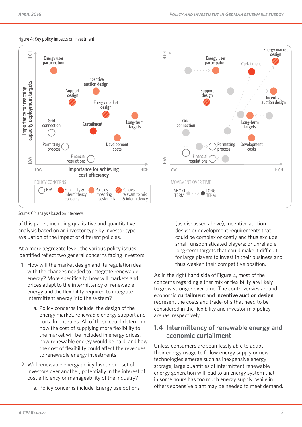#### Figure 4: Key policy impacts on investment



Source: CPI analysis based on interviews

of this paper, including qualitative and quantitative analysis based on an investor type by investor type evaluation of the impact of different policies.

At a more aggregate level, the various policy issues identified reflect two general concerns facing investors:

- 1. How will the market design and its regulation deal with the changes needed to integrate renewable energy? More specifically, how will markets and prices adapt to the intermittency of renewable energy and the flexibility required to integrate intermittent energy into the system?
	- a. Policy concerns include: the design of the energy market, renewable energy support and curtailment rules. All of these could determine how the cost of supplying more flexibility to the market will be included in energy prices, how renewable energy would be paid, and how the cost of flexibility could affect the revenues to renewable energy investments.
- 2. Will renewable energy policy favour one set of investors over another, potentially in the interest of cost efficiency or manageability of the industry?
	- a. Policy concerns include: Energy use options

(as discussed above), incentive auction design or development requirements that could be complex or costly and thus exclude small, unsophisticated players; or unreliable long-term targets that could make it difficult for large players to invest in their business and thus weaken their competitive position.

As in the right hand side of Figure 4, most of the concerns regarding either mix or flexibility are likely to grow stronger over time. The controversies around economic **curtailment** and **incentive auction design** represent the costs and trade-offs that need to be considered in the flexibility and investor mix policy arenas, respectively.

### **1.4 Intermittency of renewable energy and economic curtailment**

Unless consumers are seamlessly able to adapt their energy usage to follow energy supply or new technologies emerge such as inexpensive energy storage, large quantities of intermittent renewable energy generation will lead to an energy system that in some hours has too much energy supply, while in others expensive plant may be needed to meet demand.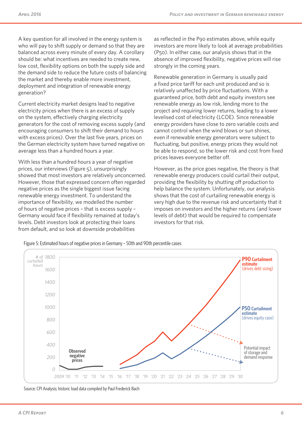A key question for all involved in the energy system is who will pay to shift supply or demand so that they are balanced across every minute of every day. A corollary should be: what incentives are needed to create new, low cost, flexibility options on both the supply side and the demand side to reduce the future costs of balancing the market and thereby enable more investment, deployment and integration of renewable energy generation?

Current electricity market designs lead to negative electricity prices when there is an excess of supply on the system, effectively charging electricity generators for the cost of removing excess supply (and encouraging consumers to shift their demand to hours with excess prices). Over the last five years, prices on the German electricity system have turned negative on average less than a hundred hours a year.

With less than a hundred hours a year of negative prices, our interviews (Figure 5), unsurprisingly showed that most investors are relatively unconcerned. However, those that expressed concern often regarded negative prices as the single biggest issue facing renewable energy investment. To understand the importance of flexibility, we modelled the number of hours of negative prices – that is excess supply – Germany would face if flexibility remained at today's levels. Debt investors look at protecting their loans from default, and so look at downside probabilities

as reflected in the P90 estimates above, while equity investors are more likely to look at average probabilities (P50). In either case, our analysis shows that in the absence of improved flexibility, negative prices will rise strongly in the coming years.

Renewable generation in Germany is usually paid a fixed price tariff for each unit produced and so is relatively unaffected by price fluctuations. With a guaranteed price, both debt and equity investors see renewable energy as low risk, lending more to the project and requiring lower returns, leading to a lower levelised cost of electricity (LCOE). Since renewable energy providers have close to zero variable costs and cannot control when the wind blows or sun shines, even if renewable energy generators were subject to fluctuating, but positive, energy prices they would not be able to respond, so the lower risk and cost from fixed prices leaves everyone better off.

However, as the price goes negative, the theory is that renewable energy producers could curtail their output, providing the flexibility by shutting off production to help balance the system. Unfortunately, our analysis shows that the cost of curtailing renewable energy is very high due to the revenue risk and uncertainty that it imposes on investors and the higher returns (and lower levels of debt) that would be required to compensate investors for that risk.

Figure 5: Estimated hours of negative prices in Germany – 50th and 90th percentile cases



Source: CPI Analysis; historic load data compiled by Paul Frederick Bach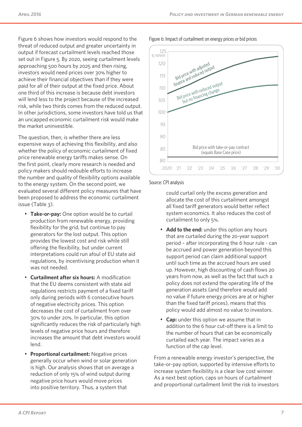Figure 6 shows how investors would respond to the threat of reduced output and greater uncertainty in output if forecast curtailment levels reached those set out in Figure 5. By 2020, seeing curtailment levels approaching 500 hours by 2025 and then rising, investors would need prices over 30% higher to achieve their financial objectives than if they were paid for all of their output at the fixed price. About one third of this increase is because debt investors will lend less to the project because of the increased risk, while two thirds comes from the reduced output. In other jurisdictions, some investors have told us that an uncapped economic curtailment risk would make the market uninvestible.

The question, then, is whether there are less expensive ways of achieving this flexibility, and also whether the policy of economic curtailment of fixed price renewable energy tariffs makes sense. On the first point, clearly more research is needed and policy makers should redouble efforts to increase the number and quality of flexibility options available to the energy system. On the second point, we evaluated several different policy measures that have been proposed to address the economic curtailment issue (Table 3).

- **Take-or-pay:** One option would be to curtail production from renewable energy, providing flexibility for the grid, but continue to pay generators for the lost output. This option provides the lowest cost and risk while still offering the flexibility, but under current interpretations could run afoul of EU state aid regulations, by incentivising production when it was not needed.
- **Curtailment after six hours:** A modification that the EU deems consistent with state aid regulations restricts payment of a fixed tariff only during periods with 6 consecutive hours of negative electricity prices. This option decreases the cost of curtailment from over 30% to under 20%. In particular, this option significantly reduces the risk of particularly high levels of negative price hours and therefore increases the amount that debt investors would lend.
- **Proportional curtailment:** Negative prices generally occur when wind or solar generation is high. Our analysis shows that on average a reduction of only 15% of wind output during negative price hours would move prices into positive territory. Thus, a system that

Figure 6: Impact of curtailment on energy prices or bid prices



#### Source: CPI analysis

could curtail only the excess generation and allocate the cost of this curtailment amongst all fixed tariff generators would better reflect system economics. It also reduces the cost of curtailment to only 5%.

- **Add to the end:** under this option any hours that are curtailed during the 20-year support period – after incorporating the 6 hour rule - can be accrued and power generation beyond this support period can claim additional support until such time as the accrued hours are used up. However, high discounting of cash flows 20 years from now, as well as the fact that such a policy does not extend the operating life of the generation assets (and therefore would add no value if future energy prices are at or higher than the fixed tariff prices), means that this policy would add almost no value to investors.
- **Cap:** under this option we assume that in addition to the 6 hour cut-off there is a limit to the number of hours that can be economically curtailed each year. The impact varies as a function of the cap level.

From a renewable energy investor's perspective, the take-or-pay option, supported by intensive efforts to increase system flexibility is a clear low cost winner. As a next best option, caps on hours of curtailment and proportional curtailment limit the risk to investors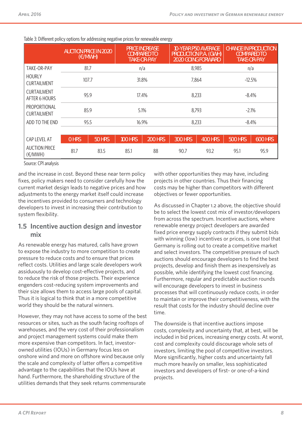|                                                                                                                                                       | <b>AUCTION PRICE IN 2020</b><br>(E/MWH) |               | <b>PRICE INCREASE</b><br><b>COMPARED TO</b><br><b>TAKE-OR-PAY</b> |                | <b>10-YEAR P50 AVERAGE</b><br>PRODUCTION P.A. (GWH)<br><b>2020 GOING FORWARD</b> |                | <b>CHANGE IN PRODUCTION</b><br><b>COMPARED TO</b><br><b>TAKE-OR-PAY</b> |                |
|-------------------------------------------------------------------------------------------------------------------------------------------------------|-----------------------------------------|---------------|-------------------------------------------------------------------|----------------|----------------------------------------------------------------------------------|----------------|-------------------------------------------------------------------------|----------------|
| TAKE-OR-PAY                                                                                                                                           | 81.7                                    |               | n/a                                                               |                | 8,985                                                                            |                | n/a                                                                     |                |
| <b>HOURLY</b><br><b>CURTAILMENT</b>                                                                                                                   | 107.7                                   |               | 31.8%                                                             |                | 7,864                                                                            |                | $-12.5%$                                                                |                |
| <b>CURTAILMENT</b><br>AFTER 6 HOURS                                                                                                                   | 95.9                                    |               | 17.4%                                                             |                | 8,233                                                                            |                | $-8.4%$                                                                 |                |
| PROPORTIONAL<br><b>CURTAILMENT</b>                                                                                                                    | 85.9                                    |               | 5.1%                                                              |                | 8,793                                                                            |                | $-2.1%$                                                                 |                |
| ADD TO THE END                                                                                                                                        | 95.5                                    |               | 16.9%                                                             |                | 8,233                                                                            |                | $-8.4%$                                                                 |                |
|                                                                                                                                                       |                                         |               |                                                                   |                |                                                                                  |                |                                                                         |                |
| CAP LEVEL AT                                                                                                                                          | <b>O HRS</b>                            | <b>50 HRS</b> | <b>100 HRS</b>                                                    | <b>200 HRS</b> | <b>300 HRS</b>                                                                   | <b>400 HRS</b> | <b>500 HRS</b>                                                          | <b>600 HRS</b> |
| <b>AUCTION PRICE</b><br>$(\text{\ensuremath{\mathsf{E}}}/\text{\ensuremath{\mathsf{M}}}\text{\ensuremath{\mathsf{W}}}\text{\ensuremath{\mathsf{H}}})$ | 81.7                                    | 83.5          | 85.1                                                              | 88             | 90.7                                                                             | 93.2           | 95.1                                                                    | 95.9           |

| Table 3: Different policy options for addressing negative prices for renewable energy |  |  |  |
|---------------------------------------------------------------------------------------|--|--|--|
|                                                                                       |  |  |  |

Source: CPI analysis

and the increase in cost. Beyond these near term policy fixes, policy makers need to consider carefully how the current market design leads to negative prices and how adjustments to the energy market itself could increase the incentives provided to consumers and technology developers to invest in increasing their contribution to system flexibility.

### **1.5 Incentive auction design and investor mix**

As renewable energy has matured, calls have grown to expose the industry to more competition to create pressure to reduce costs and to ensure that prices reflect costs. Utilities and large scale developers work assiduously to develop cost-effective projects, and to reduce the risk of those projects. Their experience engenders cost-reducing system improvements and their size allows them to access large pools of capital. Thus it is logical to think that in a more competitive world they should be the natural winners.

However, they may not have access to some of the best resources or sites, such as the south facing rooftops of warehouses, and the very cost of their professionalism and project management systems could make them more expensive than competitors. In fact, investorowned utilities (IOUs) in Germany focus less on onshore wind and more on offshore wind because only the scale and complexity of latter offers a competitive advantage to the capabilities that the IOUs have at hand. Furthermore, the shareholding structure of the utilities demands that they seek returns commensurate

with other opportunities they may have, including projects in other countries. Thus their financing costs may be higher than competitors with different objectives or fewer opportunities.

As discussed in Chapter 1.2 above, the objective should be to select the lowest cost mix of investor/developers from across the spectrum. Incentive auctions, where renewable energy project developers are awarded fixed price energy supply contracts if they submit bids with winning (low) incentives or prices, is one tool that Germany is rolling out to create a competitive market and select investors. The competitive pressure of such auctions should encourage developers to find the best projects, develop and finish them as inexpensively as possible, while identifying the lowest cost financing. Furthermore, regular and predictable auction rounds will encourage developers to invest in business processes that will continuously reduce costs, in order to maintain or improve their competitiveness, with the result that costs for the industry should decline over time.

The downside is that incentive auctions impose costs, complexity and uncertainty that, at best, will be included in bid prices, increasing energy costs. At worst, cost and complexity could discourage whole sets of investors, limiting the pool of competitive investors. More significantly, higher costs and uncertainty fall much more heavily on smaller, less sophisticated investors and developers of first- or one-of-a-kind projects.